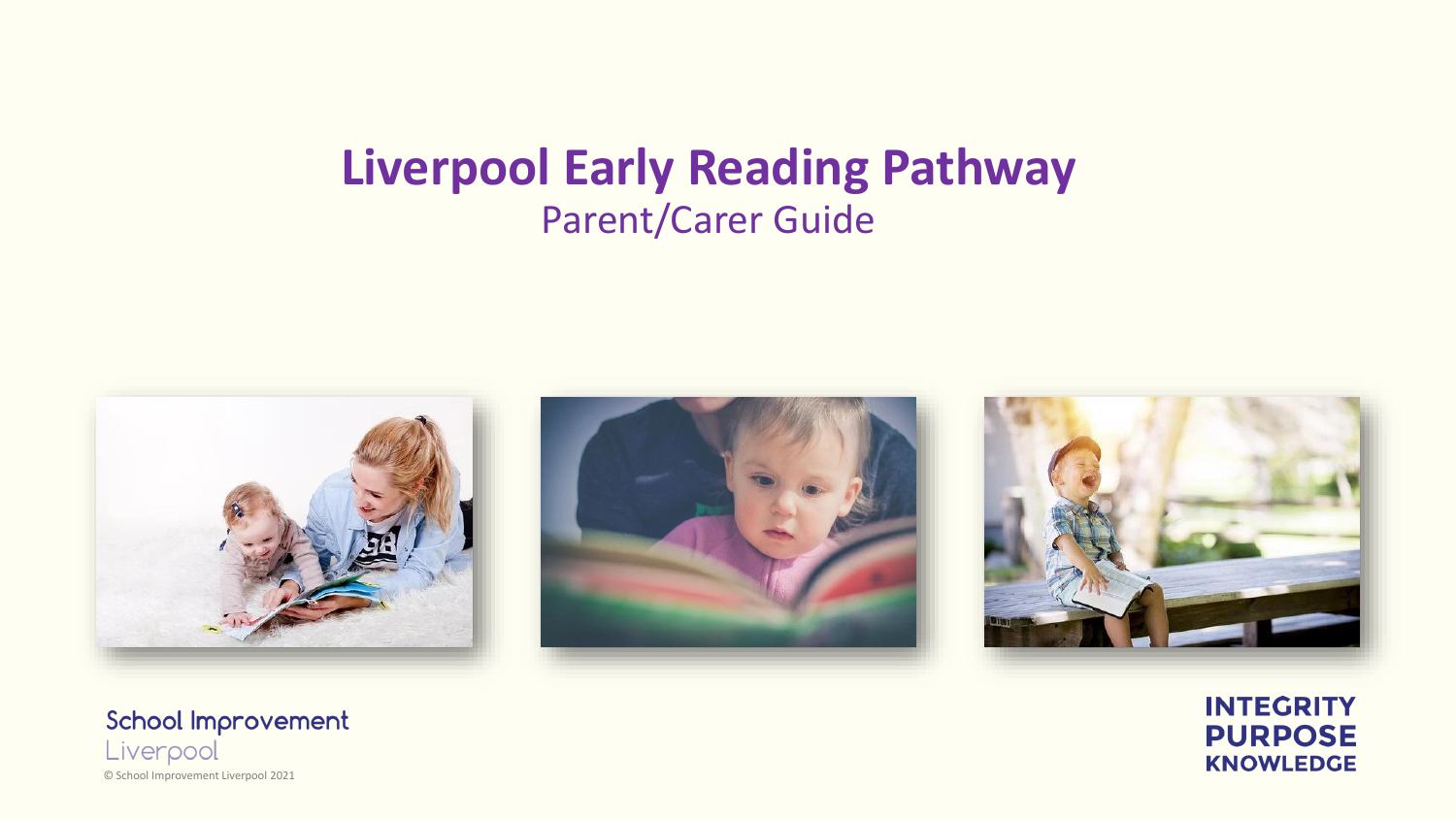### **Liverpool Early Reading Pathway** Parent/Carer Guide







**School Improvement** Liverpool © School Improvement Liverpool 2021

**INTEGRITY PURPOSE KNOWLEDGE**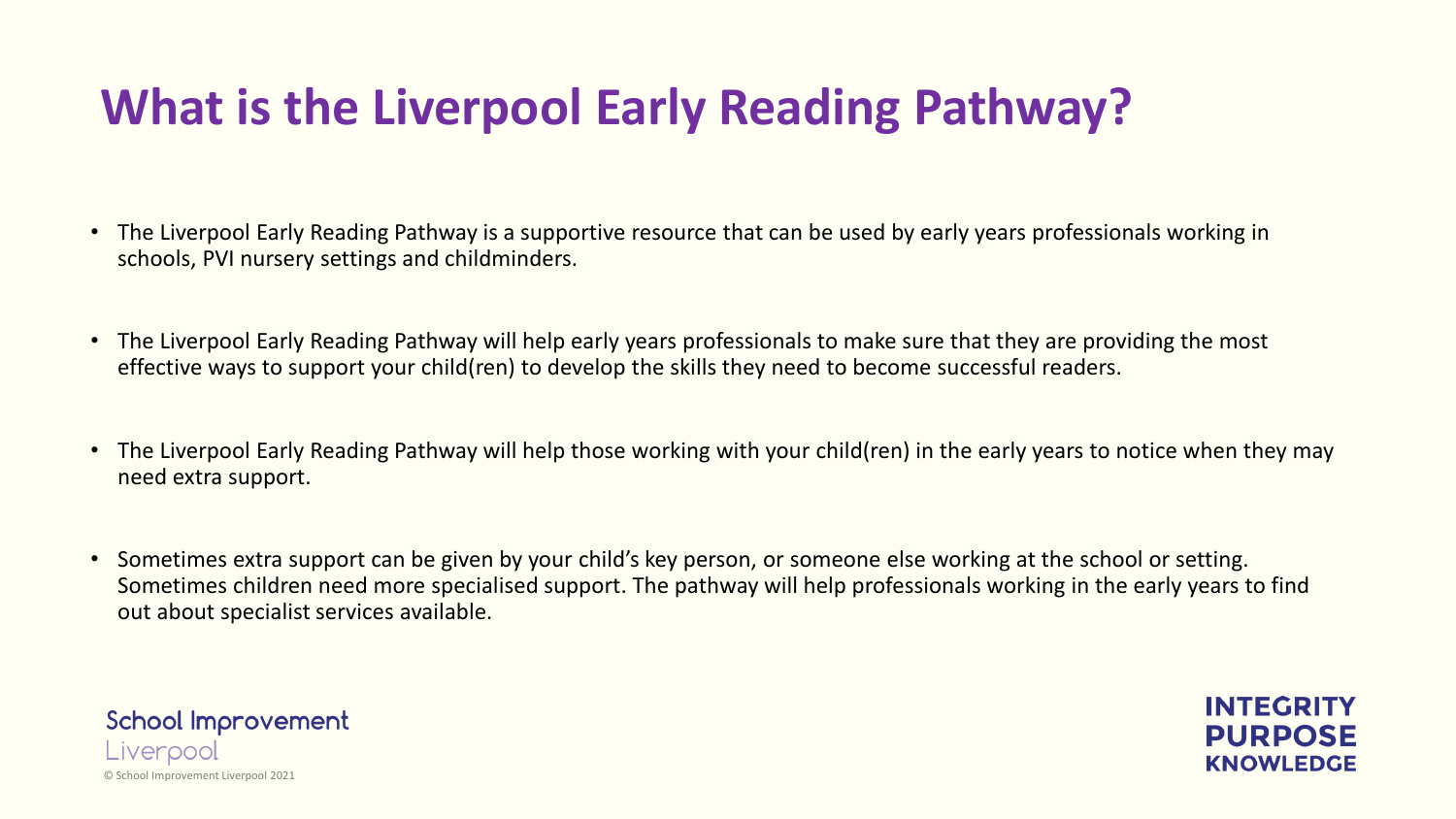### **What is the Liverpool Early Reading Pathway?**

- The Liverpool Early Reading Pathway is a supportive resource that can be used by early years professionals working in schools, PVI nursery settings and childminders.
- The Liverpool Early Reading Pathway will help early years professionals to make sure that they are providing the most effective ways to support your child(ren) to develop the skills they need to become successful readers.
- The Liverpool Early Reading Pathway will help those working with your child(ren) in the early years to notice when they may need extra support.
- Sometimes extra support can be given by your child's key person, or someone else working at the school or setting. Sometimes children need more specialised support. The pathway will help professionals working in the early years to find out about specialist services available.



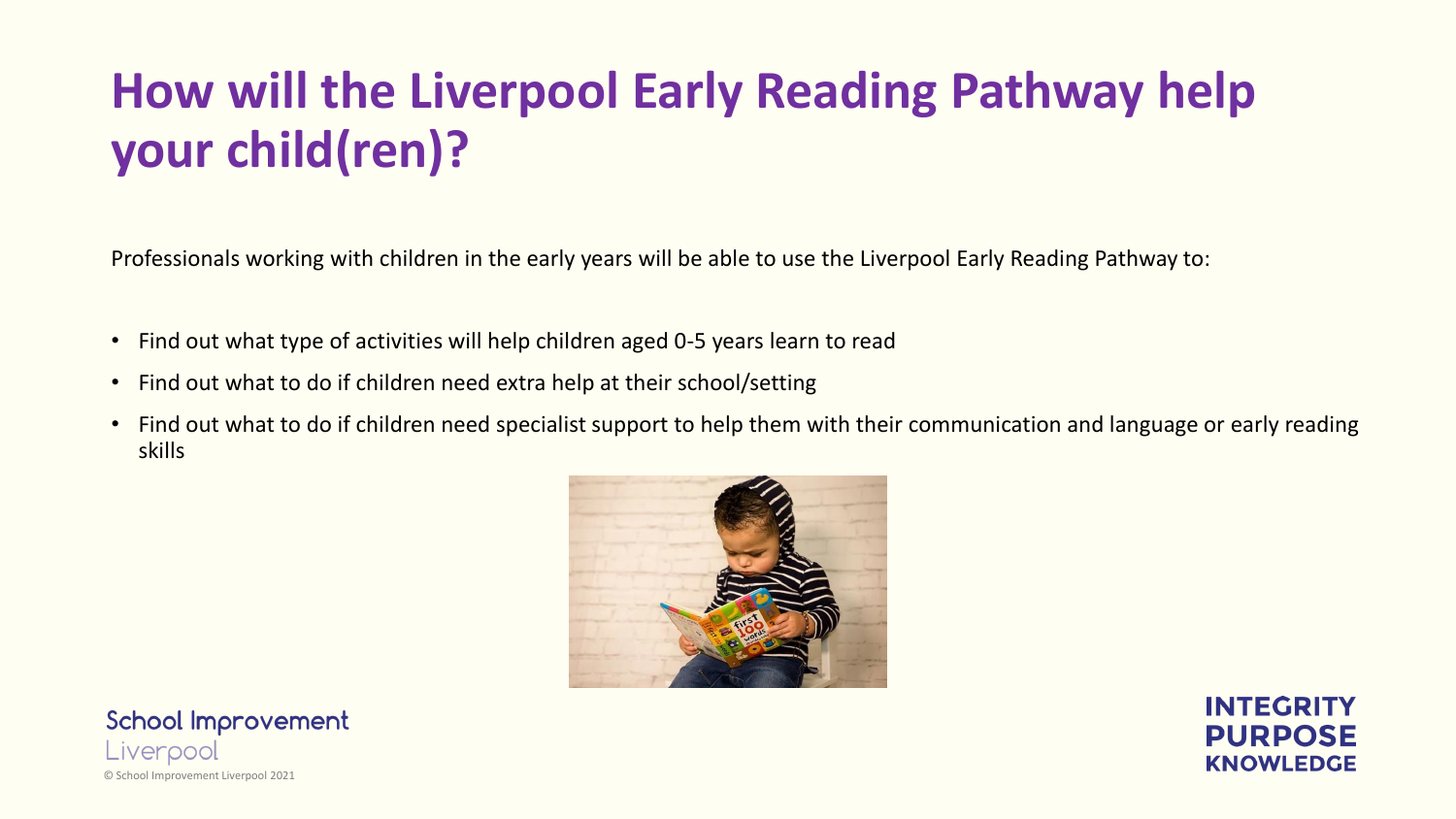# **How will the Liverpool Early Reading Pathway help your child(ren)?**

Professionals working with children in the early years will be able to use the Liverpool Early Reading Pathway to:

- Find out what type of activities will help children aged 0-5 years learn to read
- Find out what to do if children need extra help at their school/setting
- Find out what to do if children need specialist support to help them with their communication and language or early reading skills





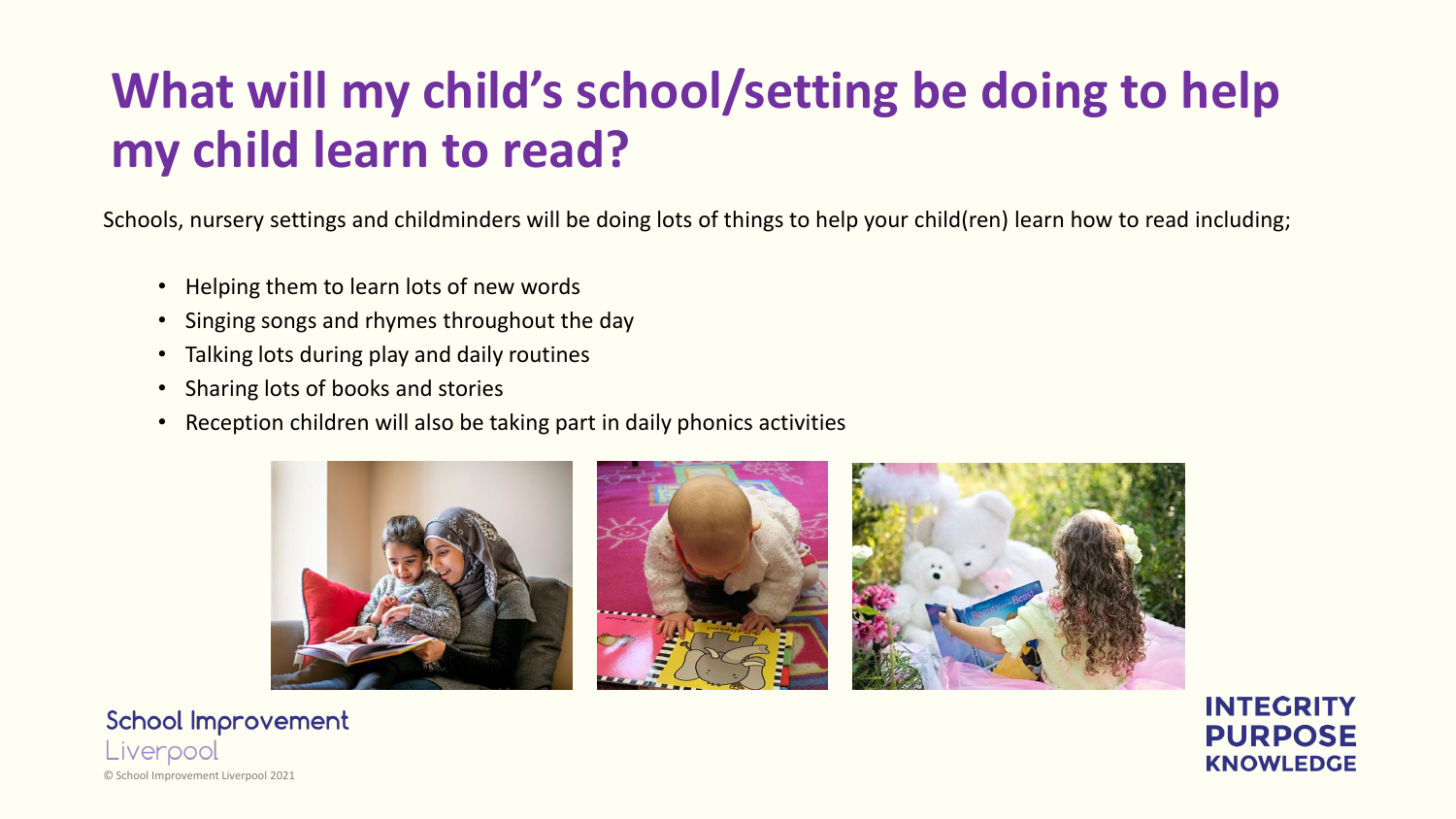### **What will my child's school/setting be doing to help my child learn to read?**

Schools, nursery settings and childminders will be doing lots of things to help your child(ren) learn how to read including;

- Helping them to learn lots of new words
- Singing songs and rhymes throughout the day
- Talking lots during play and daily routines
- Sharing lots of books and stories
- Reception children will also be taking part in daily phonics activities







**School Improvement** Liverpool © School Improvement Liverpool 2021

**INTEGRITY PURPOSE KNOWLEDGE**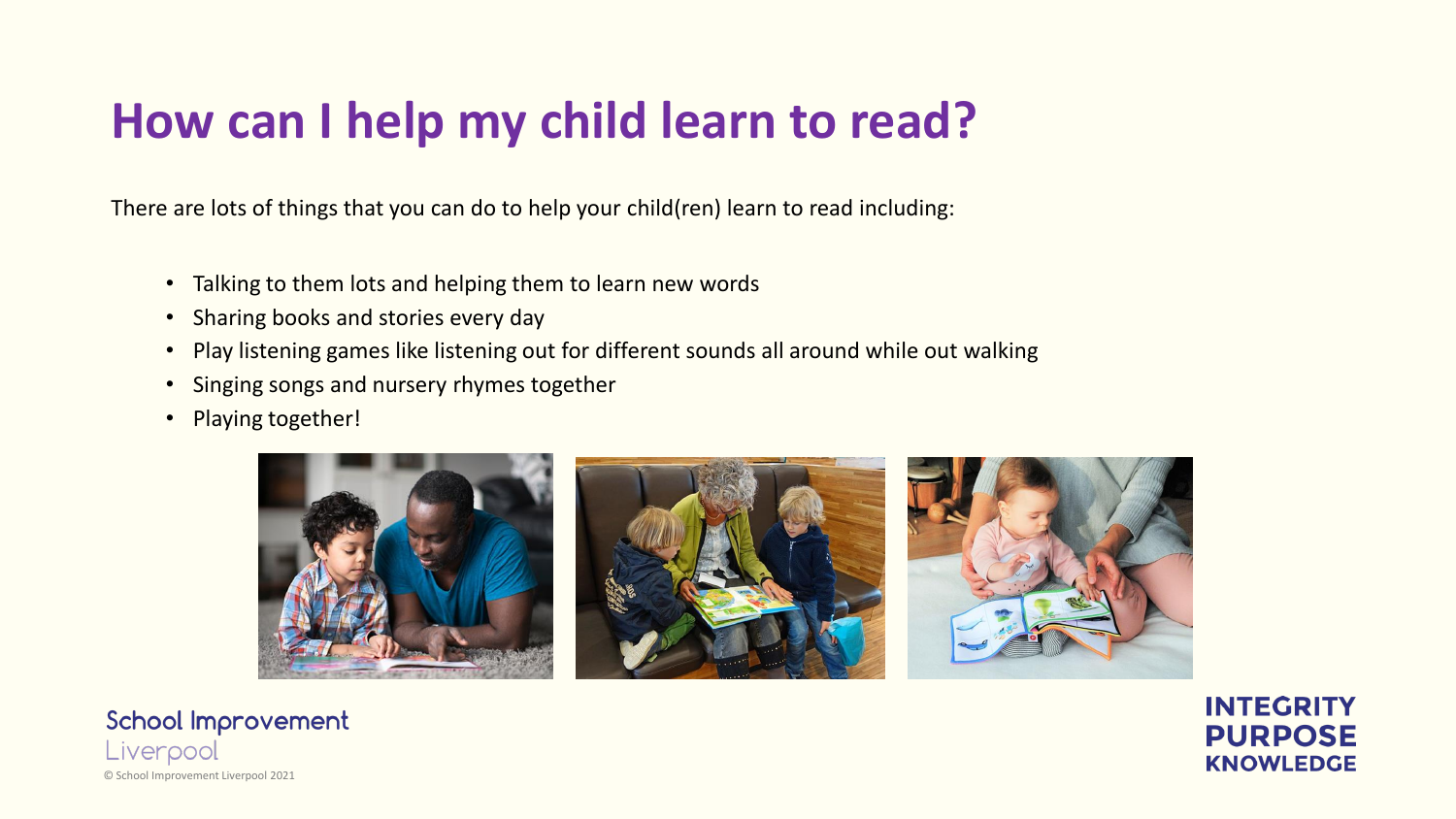### **How can I help my child learn to read?**

There are lots of things that you can do to help your child(ren) learn to read including:

- Talking to them lots and helping them to learn new words
- Sharing books and stories every day
- Play listening games like listening out for different sounds all around while out walking
- Singing songs and nursery rhymes together
- Playing together!







**School Improvement** Liverpool © School Improvement Liverpool 2021

**INTEGRITY PURPOSE KNOWLEDGE**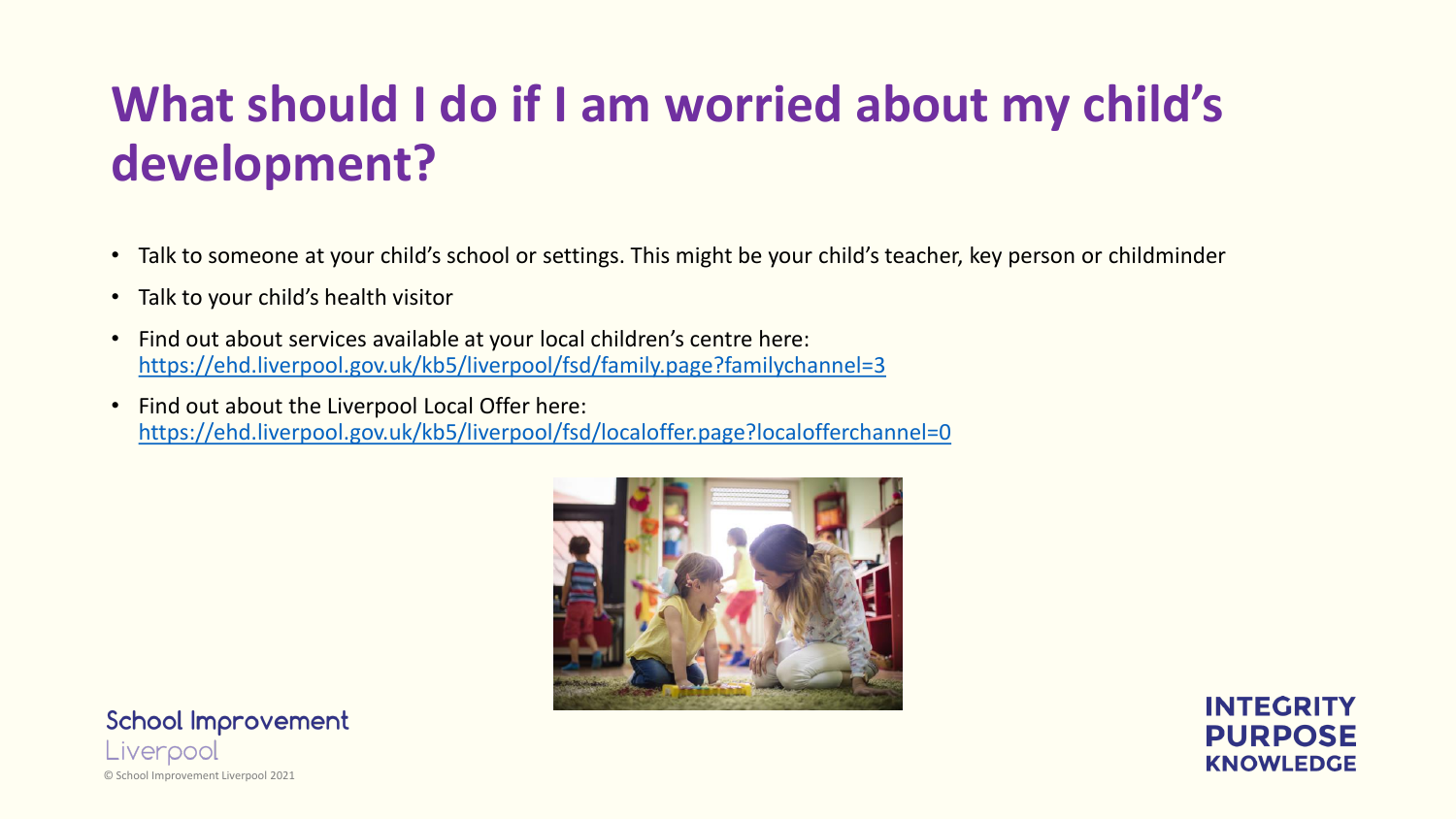# **What should I do if I am worried about my child's development?**

- Talk to someone at your child's school or settings. This might be your child's teacher, key person or childminder
- Talk to your child's health visitor
- Find out about services available at your local children's centre here: <https://ehd.liverpool.gov.uk/kb5/liverpool/fsd/family.page?familychannel=3>
- Find out about the Liverpool Local Offer here: <https://ehd.liverpool.gov.uk/kb5/liverpool/fsd/localoffer.page?localofferchannel=0>





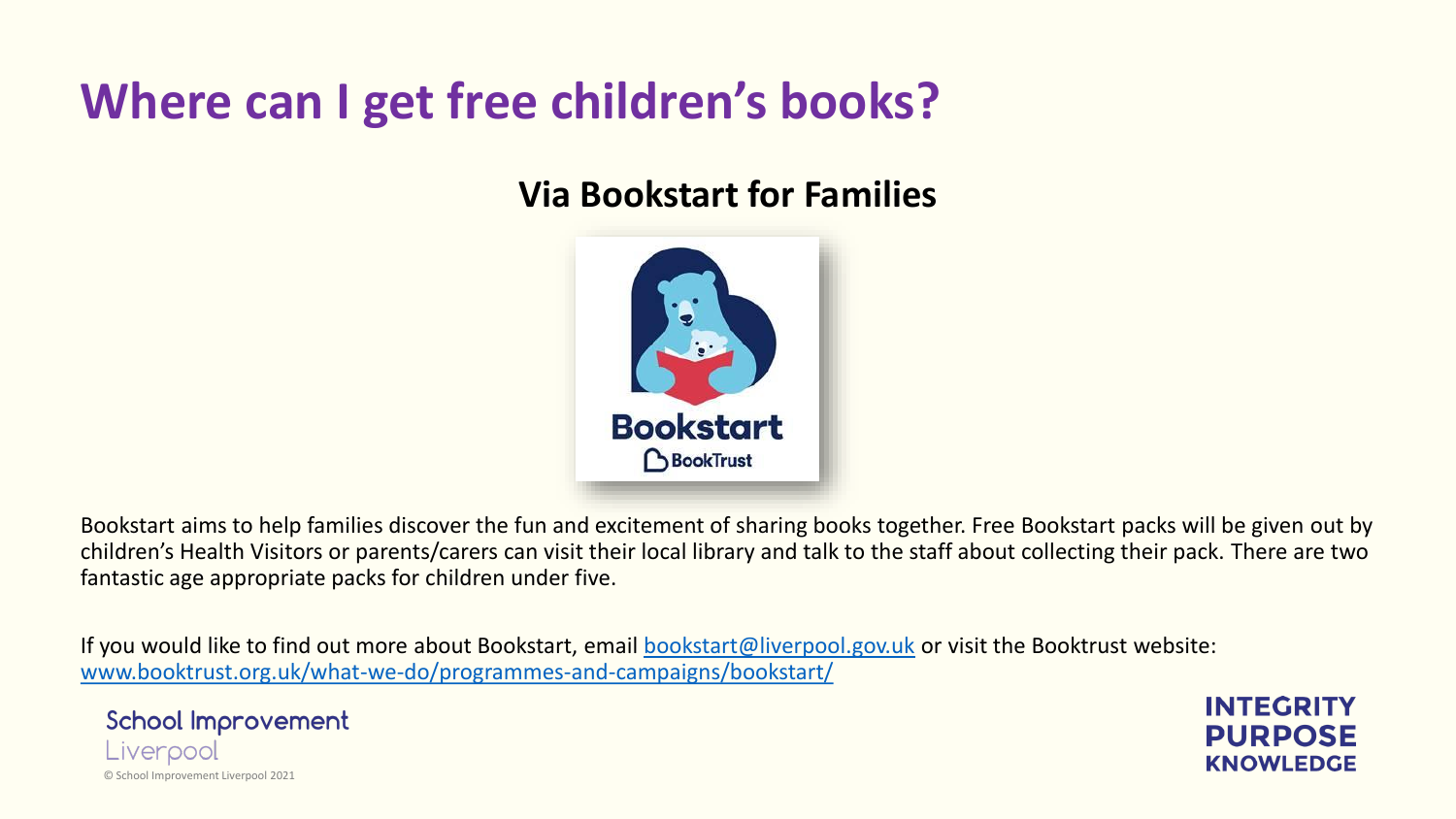### **Where can I get free children's books?**

### **Via Bookstart for Families**



Bookstart aims to help families discover the fun and excitement of sharing books together. Free Bookstart packs will be given out by children's Health Visitors or parents/carers can visit their local library and talk to the staff about collecting their pack. There are two fantastic age appropriate packs for children under five.

If you would like to find out more about Bookstart, email **bookstart@liverpool.gov.uk** or visit the Booktrust website: [www.booktrust.org.uk/what-we-do/programmes-and-campaigns/bookstart/](https://www.booktrust.org.uk/what-we-do/programmes-and-campaigns/bookstart/)

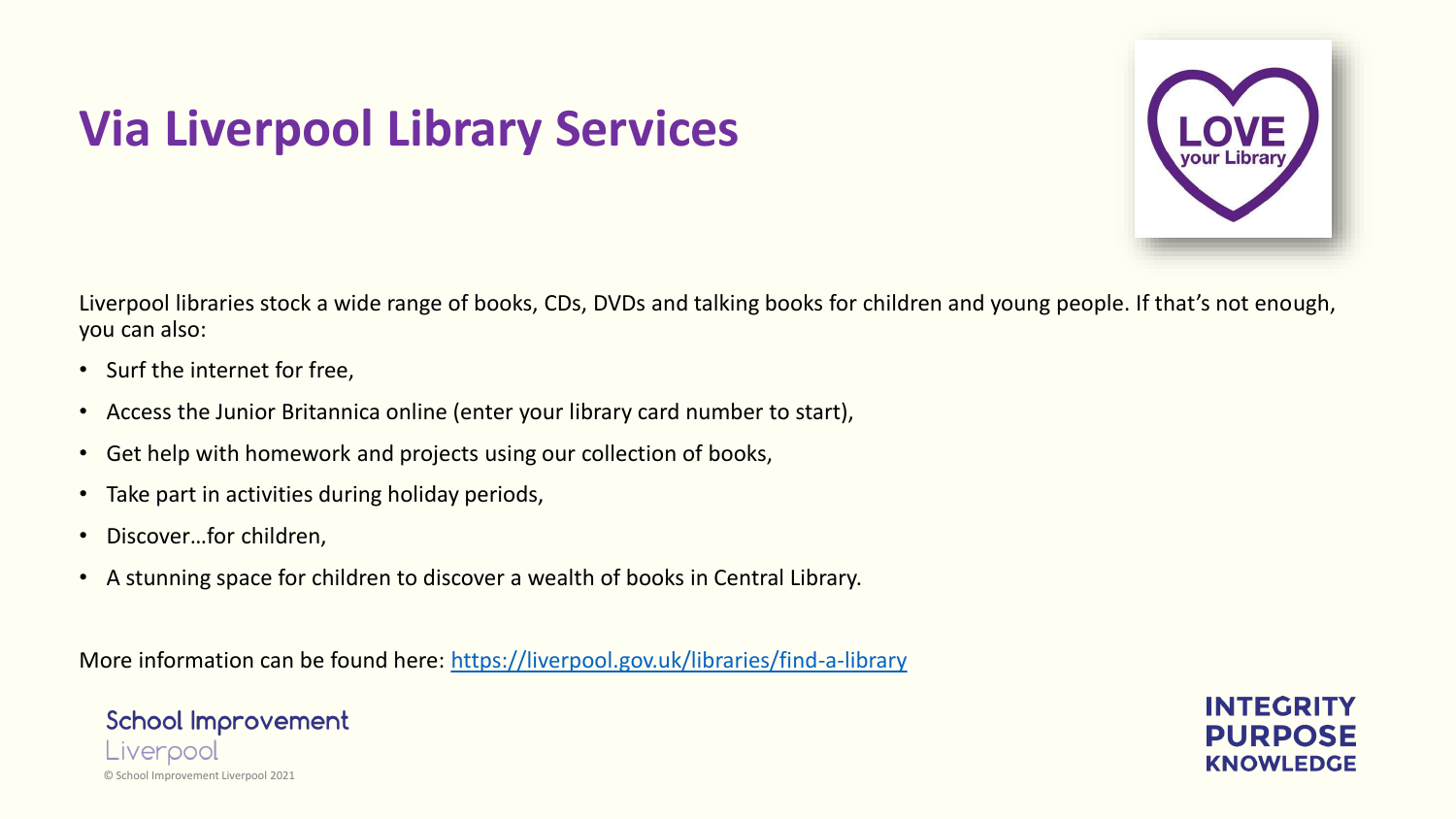## **Via Liverpool Library Services**



Liverpool libraries stock a wide range of books, CDs, DVDs and talking books for children and young people. If that's not enough, you can also:

- Surf the internet for free,
- Access the Junior Britannica online (enter your library card number to start),
- Get help with homework and projects using our collection of books,
- Take part in activities during holiday periods,
- Discover…for children,
- A stunning space for children to discover a wealth of books in Central Library.

More information can be found here: <https://liverpool.gov.uk/libraries/find-a-library>

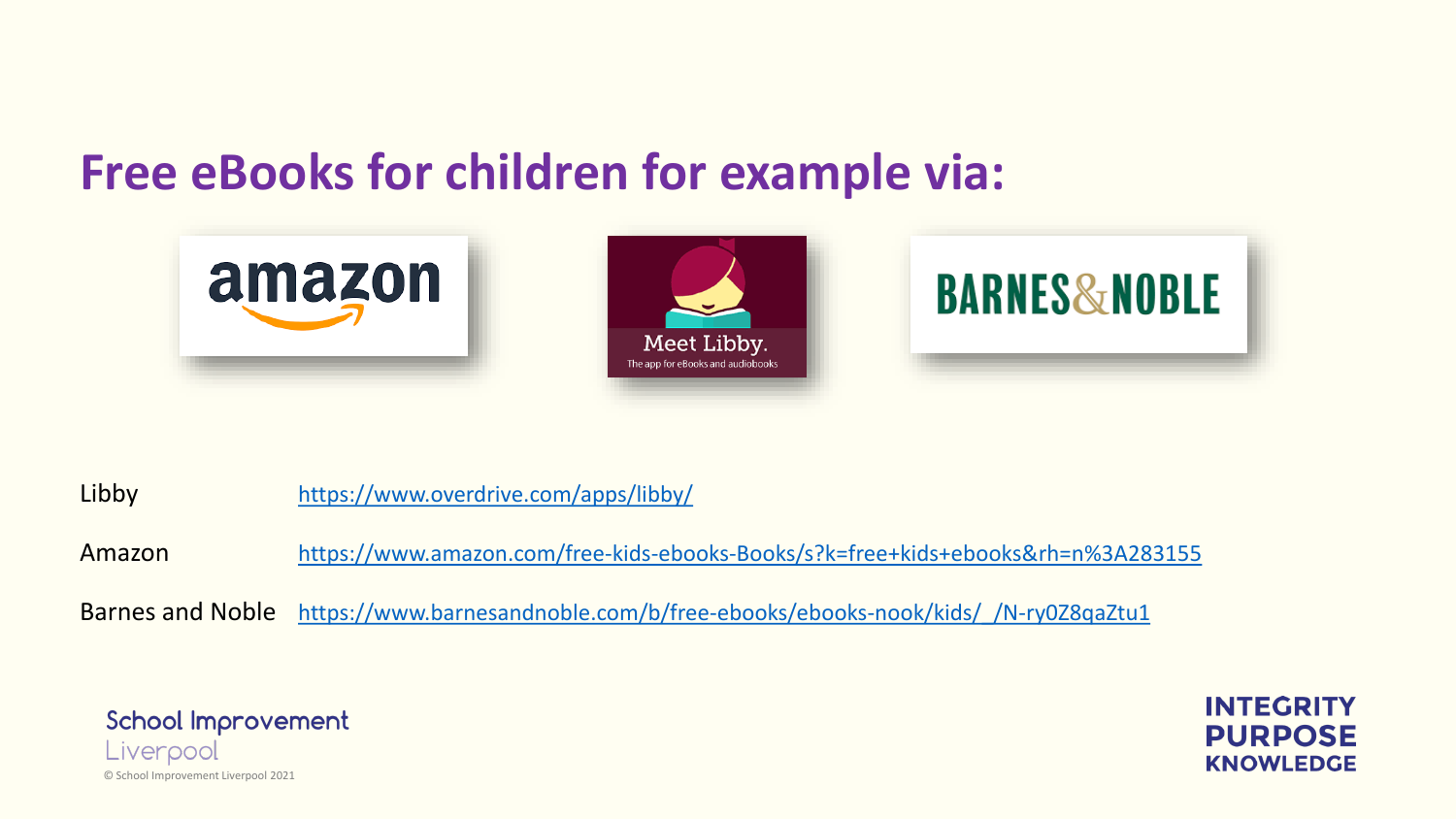### **Free eBooks for children for example via:**







| Libby  | https://www.overdrive.com/apps/libby/                                                          |
|--------|------------------------------------------------------------------------------------------------|
| Amazon | https://www.amazon.com/free-kids-ebooks-Books/s?k=free+kids+ebooks&rh=n%3A283155               |
|        | Barnes and Noble https://www.barnesandnoble.com/b/free-ebooks/ebooks-nook/kids/ /N-ry0Z8qaZtu1 |
|        |                                                                                                |



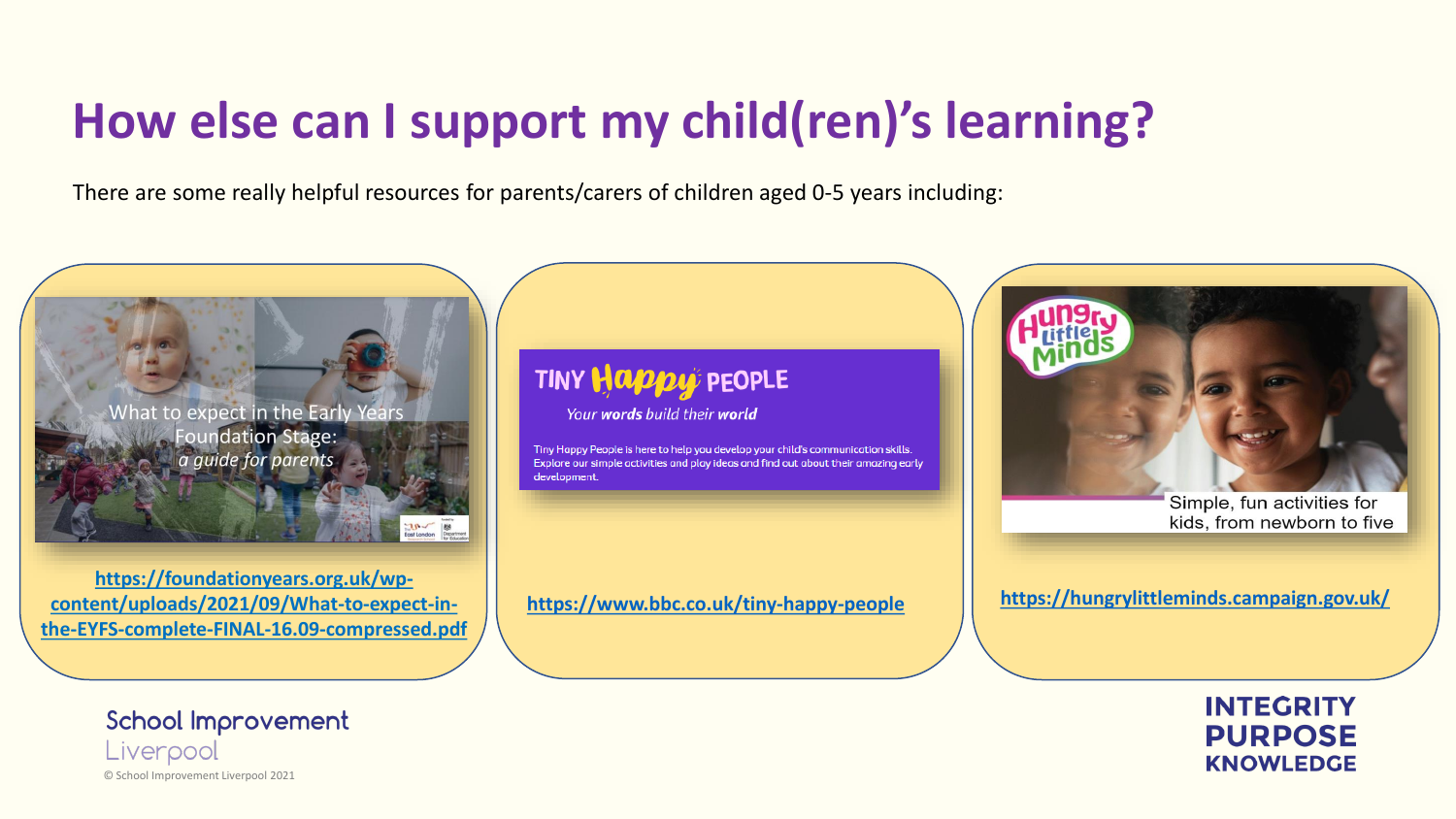### **How else can I support my child(ren)'s learning?**

There are some really helpful resources for parents/carers of children aged 0-5 years including:



**PURPOSE** 

**KNOWLEDGE**